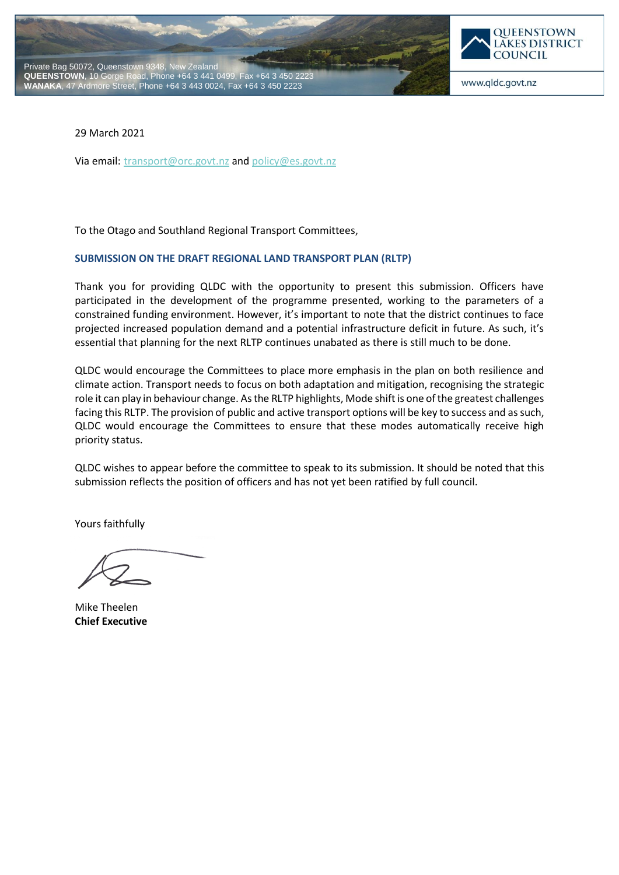



www.qldc.govt.nz

29 March 2021

Via email: [transport@orc.govt.nz](mailto:transport@orc.govt.nz) and [policy@es.govt.nz](mailto:policy@es.govt.nz)

To the Otago and Southland Regional Transport Committees,

#### **SUBMISSION ON THE DRAFT REGIONAL LAND TRANSPORT PLAN (RLTP)**

Thank you for providing QLDC with the opportunity to present this submission. Officers have participated in the development of the programme presented, working to the parameters of a constrained funding environment. However, it's important to note that the district continues to face projected increased population demand and a potential infrastructure deficit in future. As such, it's essential that planning for the next RLTP continues unabated as there is still much to be done.

QLDC would encourage the Committees to place more emphasis in the plan on both resilience and climate action. Transport needs to focus on both adaptation and mitigation, recognising the strategic role it can play in behaviour change. As the RLTP highlights, Mode shift is one of the greatest challenges facing this RLTP. The provision of public and active transport options will be key to success and as such, QLDC would encourage the Committees to ensure that these modes automatically receive high priority status.

QLDC wishes to appear before the committee to speak to its submission. It should be noted that this submission reflects the position of officers and has not yet been ratified by full council.

Yours faithfully

Mike Theelen **Chief Executive**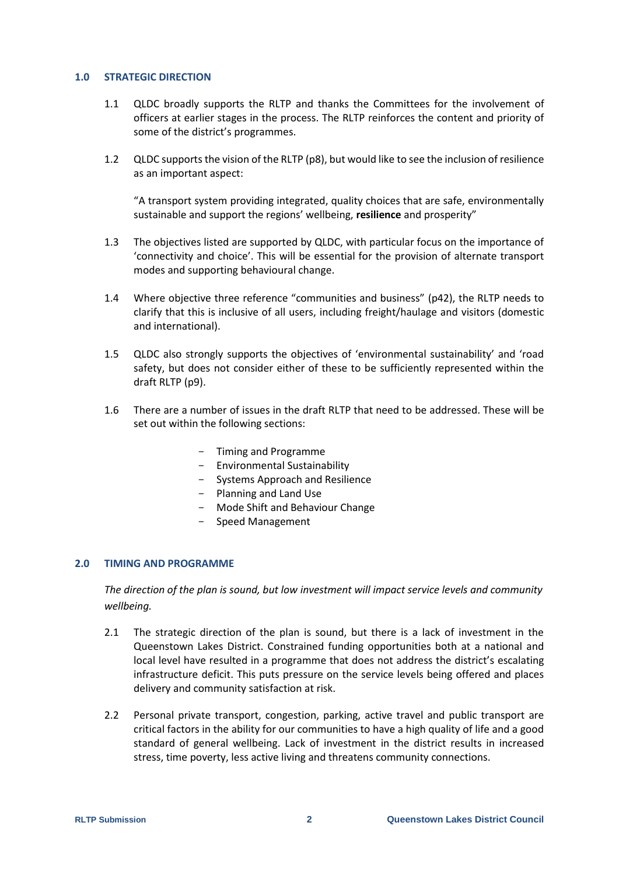#### **1.0 STRATEGIC DIRECTION**

- 1.1 QLDC broadly supports the RLTP and thanks the Committees for the involvement of officers at earlier stages in the process. The RLTP reinforces the content and priority of some of the district's programmes.
- 1.2 QLDC supports the vision of the RLTP (p8), but would like to see the inclusion of resilience as an important aspect:

"A transport system providing integrated, quality choices that are safe, environmentally sustainable and support the regions' wellbeing, **resilience** and prosperity"

- 1.3 The objectives listed are supported by QLDC, with particular focus on the importance of 'connectivity and choice'. This will be essential for the provision of alternate transport modes and supporting behavioural change.
- 1.4 Where objective three reference "communities and business" (p42), the RLTP needs to clarify that this is inclusive of all users, including freight/haulage and visitors (domestic and international).
- 1.5 QLDC also strongly supports the objectives of 'environmental sustainability' and 'road safety, but does not consider either of these to be sufficiently represented within the draft RLTP (p9).
- 1.6 There are a number of issues in the draft RLTP that need to be addressed. These will be set out within the following sections:
	- Timing and Programme
	- Environmental Sustainability
	- Systems Approach and Resilience
	- Planning and Land Use
	- Mode Shift and Behaviour Change
	- Speed Management

## **2.0 TIMING AND PROGRAMME**

*The direction of the plan is sound, but low investment will impact service levels and community wellbeing.*

- 2.1 The strategic direction of the plan is sound, but there is a lack of investment in the Queenstown Lakes District. Constrained funding opportunities both at a national and local level have resulted in a programme that does not address the district's escalating infrastructure deficit. This puts pressure on the service levels being offered and places delivery and community satisfaction at risk.
- 2.2 Personal private transport, congestion, parking, active travel and public transport are critical factors in the ability for our communities to have a high quality of life and a good standard of general wellbeing. Lack of investment in the district results in increased stress, time poverty, less active living and threatens community connections.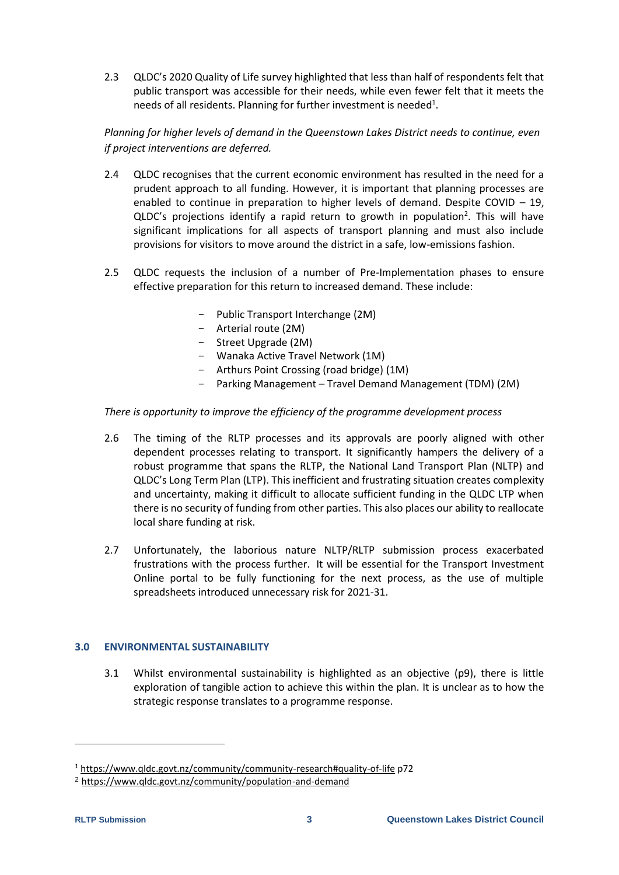2.3 QLDC's 2020 Quality of Life survey highlighted that less than half of respondents felt that public transport was accessible for their needs, while even fewer felt that it meets the needs of all residents. Planning for further investment is needed<sup>1</sup>.

# *Planning for higher levels of demand in the Queenstown Lakes District needs to continue, even if project interventions are deferred.*

- 2.4 QLDC recognises that the current economic environment has resulted in the need for a prudent approach to all funding. However, it is important that planning processes are enabled to continue in preparation to higher levels of demand. Despite COVID  $-$  19, QLDC's projections identify a rapid return to growth in population<sup>2</sup>. This will have significant implications for all aspects of transport planning and must also include provisions for visitors to move around the district in a safe, low-emissions fashion.
- 2.5 QLDC requests the inclusion of a number of Pre-Implementation phases to ensure effective preparation for this return to increased demand. These include:
	- Public Transport Interchange (2M)
	- Arterial route (2M)
	- Street Upgrade (2M)
	- Wanaka Active Travel Network (1M)
	- Arthurs Point Crossing (road bridge) (1M)
	- Parking Management Travel Demand Management (TDM) (2M)

## *There is opportunity to improve the efficiency of the programme development process*

- 2.6 The timing of the RLTP processes and its approvals are poorly aligned with other dependent processes relating to transport. It significantly hampers the delivery of a robust programme that spans the RLTP, the National Land Transport Plan (NLTP) and QLDC's Long Term Plan (LTP). This inefficient and frustrating situation creates complexity and uncertainty, making it difficult to allocate sufficient funding in the QLDC LTP when there is no security of funding from other parties. This also places our ability to reallocate local share funding at risk.
- 2.7 Unfortunately, the laborious nature NLTP/RLTP submission process exacerbated frustrations with the process further. It will be essential for the Transport Investment Online portal to be fully functioning for the next process, as the use of multiple spreadsheets introduced unnecessary risk for 2021-31.

## **3.0 ENVIRONMENTAL SUSTAINABILITY**

3.1 Whilst environmental sustainability is highlighted as an objective (p9), there is little exploration of tangible action to achieve this within the plan. It is unclear as to how the strategic response translates to a programme response.

-

<sup>1</sup> <https://www.qldc.govt.nz/community/community-research#quality-of-life> p72

<sup>2</sup> <https://www.qldc.govt.nz/community/population-and-demand>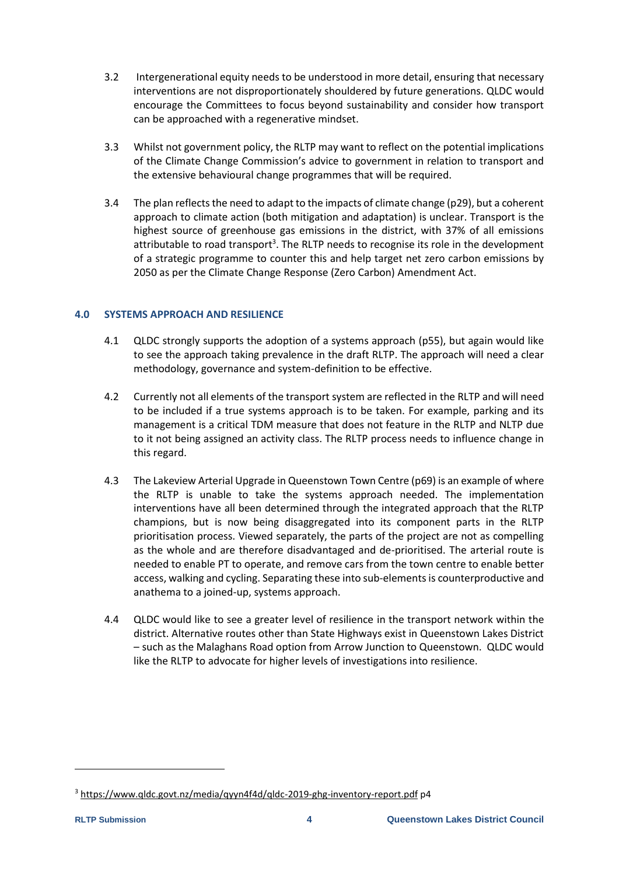- 3.2 Intergenerational equity needs to be understood in more detail, ensuring that necessary interventions are not disproportionately shouldered by future generations. QLDC would encourage the Committees to focus beyond sustainability and consider how transport can be approached with a regenerative mindset.
- 3.3 Whilst not government policy, the RLTP may want to reflect on the potential implications of the Climate Change Commission's advice to government in relation to transport and the extensive behavioural change programmes that will be required.
- 3.4 The plan reflects the need to adapt to the impacts of climate change (p29), but a coherent approach to climate action (both mitigation and adaptation) is unclear. Transport is the highest source of greenhouse gas emissions in the district, with 37% of all emissions attributable to road transport<sup>3</sup>. The RLTP needs to recognise its role in the development of a strategic programme to counter this and help target net zero carbon emissions by 2050 as per the Climate Change Response (Zero Carbon) Amendment Act.

## **4.0 SYSTEMS APPROACH AND RESILIENCE**

- 4.1 QLDC strongly supports the adoption of a systems approach (p55), but again would like to see the approach taking prevalence in the draft RLTP. The approach will need a clear methodology, governance and system-definition to be effective.
- 4.2 Currently not all elements of the transport system are reflected in the RLTP and will need to be included if a true systems approach is to be taken. For example, parking and its management is a critical TDM measure that does not feature in the RLTP and NLTP due to it not being assigned an activity class. The RLTP process needs to influence change in this regard.
- 4.3 The Lakeview Arterial Upgrade in Queenstown Town Centre (p69) is an example of where the RLTP is unable to take the systems approach needed. The implementation interventions have all been determined through the integrated approach that the RLTP champions, but is now being disaggregated into its component parts in the RLTP prioritisation process. Viewed separately, the parts of the project are not as compelling as the whole and are therefore disadvantaged and de-prioritised. The arterial route is needed to enable PT to operate, and remove cars from the town centre to enable better access, walking and cycling. Separating these into sub-elements is counterproductive and anathema to a joined-up, systems approach.
- 4.4 QLDC would like to see a greater level of resilience in the transport network within the district. Alternative routes other than State Highways exist in Queenstown Lakes District – such as the Malaghans Road option from Arrow Junction to Queenstown. QLDC would like the RLTP to advocate for higher levels of investigations into resilience.

-

<sup>&</sup>lt;sup>3</sup> <https://www.qldc.govt.nz/media/qyyn4f4d/qldc-2019-ghg-inventory-report.pdf> p4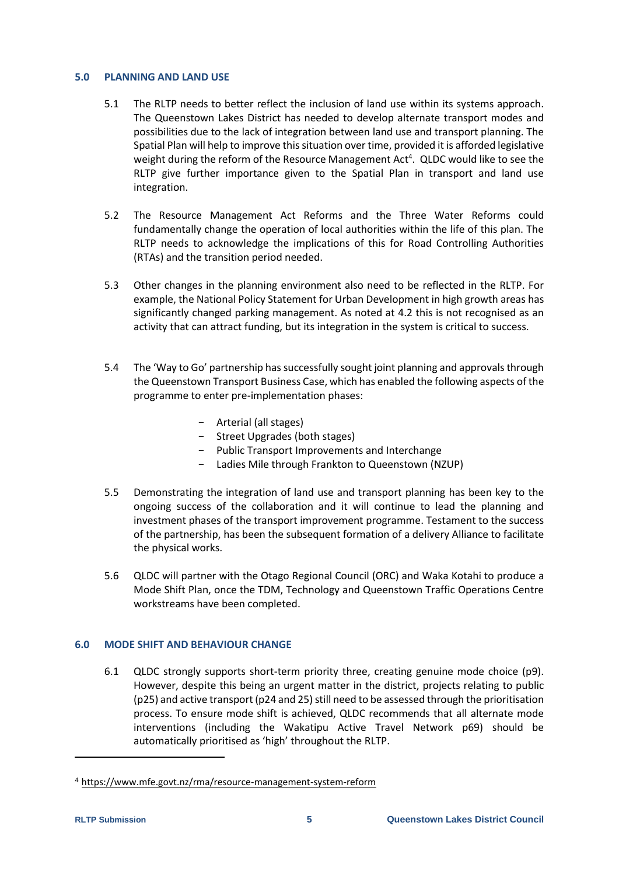#### **5.0 PLANNING AND LAND USE**

- 5.1 The RLTP needs to better reflect the inclusion of land use within its systems approach. The Queenstown Lakes District has needed to develop alternate transport modes and possibilities due to the lack of integration between land use and transport planning. The Spatial Plan will help to improve this situation over time, provided it is afforded legislative weight during the reform of the Resource Management Act<sup>4</sup>. QLDC would like to see the RLTP give further importance given to the Spatial Plan in transport and land use integration.
- 5.2 The Resource Management Act Reforms and the Three Water Reforms could fundamentally change the operation of local authorities within the life of this plan. The RLTP needs to acknowledge the implications of this for Road Controlling Authorities (RTAs) and the transition period needed.
- 5.3 Other changes in the planning environment also need to be reflected in the RLTP. For example, the National Policy Statement for Urban Development in high growth areas has significantly changed parking management. As noted at 4.2 this is not recognised as an activity that can attract funding, but its integration in the system is critical to success.
- 5.4 The 'Way to Go' partnership has successfully sought joint planning and approvals through the Queenstown Transport Business Case, which has enabled the following aspects of the programme to enter pre-implementation phases:
	- Arterial (all stages)
	- Street Upgrades (both stages)
	- Public Transport Improvements and Interchange
	- Ladies Mile through Frankton to Queenstown (NZUP)
- 5.5 Demonstrating the integration of land use and transport planning has been key to the ongoing success of the collaboration and it will continue to lead the planning and investment phases of the transport improvement programme. Testament to the success of the partnership, has been the subsequent formation of a delivery Alliance to facilitate the physical works.
- 5.6 QLDC will partner with the Otago Regional Council (ORC) and Waka Kotahi to produce a Mode Shift Plan, once the TDM, Technology and Queenstown Traffic Operations Centre workstreams have been completed.

## **6.0 MODE SHIFT AND BEHAVIOUR CHANGE**

6.1 QLDC strongly supports short-term priority three, creating genuine mode choice (p9). However, despite this being an urgent matter in the district, projects relating to public (p25) and active transport (p24 and 25) still need to be assessed through the prioritisation process. To ensure mode shift is achieved, QLDC recommends that all alternate mode interventions (including the Wakatipu Active Travel Network p69) should be automatically prioritised as 'high' throughout the RLTP.

-

<sup>4</sup> <https://www.mfe.govt.nz/rma/resource-management-system-reform>